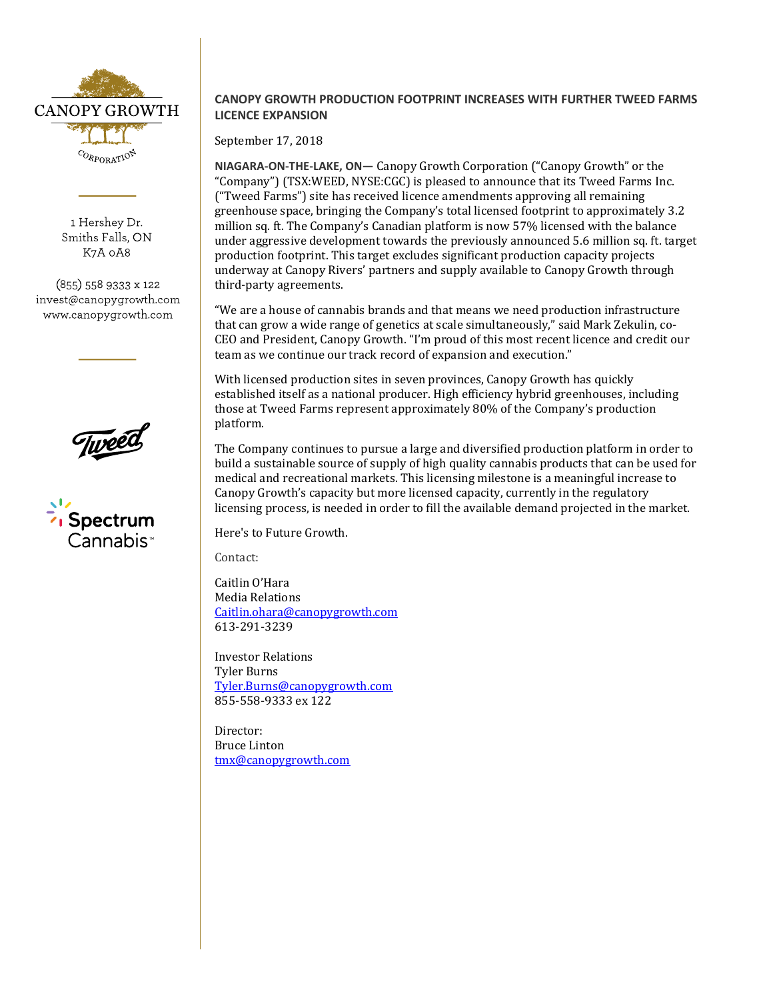

1 Hershey Dr. Smiths Falls, ON K7A 0A8

(855) 558 9333 x 122 invest@canopygrowth.com www.canopygrowth.com



## **CANOPY GROWTH PRODUCTION FOOTPRINT INCREASES WITH FURTHER TWEED FARMS LICENCE EXPANSION**

September 17, 2018

**NIAGARA-ON-THE-LAKE, ON—** Canopy Growth Corporation ("Canopy Growth" or the "Company") (TSX:WEED, NYSE:CGC) is pleased to announce that its Tweed Farms Inc. ("Tweed Farms") site has received licence amendments approving all remaining greenhouse space, bringing the Company's total licensed footprint to approximately 3.2 million sq. ft. The Company's Canadian platform is now 57% licensed with the balance under aggressive development towards the previously announced 5.6 million sq. ft. target production footprint. This target excludes significant production capacity projects underway at Canopy Rivers' partners and supply available to Canopy Growth through third-party agreements.

"We are a house of cannabis brands and that means we need production infrastructure that can grow a wide range of genetics at scale simultaneously," said Mark Zekulin, co-CEO and President, Canopy Growth. "I'm proud of this most recent licence and credit our team as we continue our track record of expansion and execution."

With licensed production sites in seven provinces, Canopy Growth has quickly established itself as a national producer. High efficiency hybrid greenhouses, including those at Tweed Farms represent approximately 80% of the Company's production platform.

The Company continues to pursue a large and diversified production platform in order to build a sustainable source of supply of high quality cannabis products that can be used for medical and recreational markets. This licensing milestone is a meaningful increase to Canopy Growth's capacity but more licensed capacity, currently in the regulatory licensing process, is needed in order to fill the available demand projected in the market.

Here's to Future Growth.

Contact:

Caitlin O'Hara Media Relations [Caitlin.ohara@canopygrowth.com](mailto:Caitlin.ohara@canopygrowth.com) 613-291-3239

Investor Relations Tyler Burns [Tyler.Burns@canopygrowth.com](mailto:Tyler.Burns@canopygrowth.com) 855-558-9333 ex 122

Director: Bruce Linton [tmx@canopygrowth.com](mailto:tmx@canopygrowth.com)